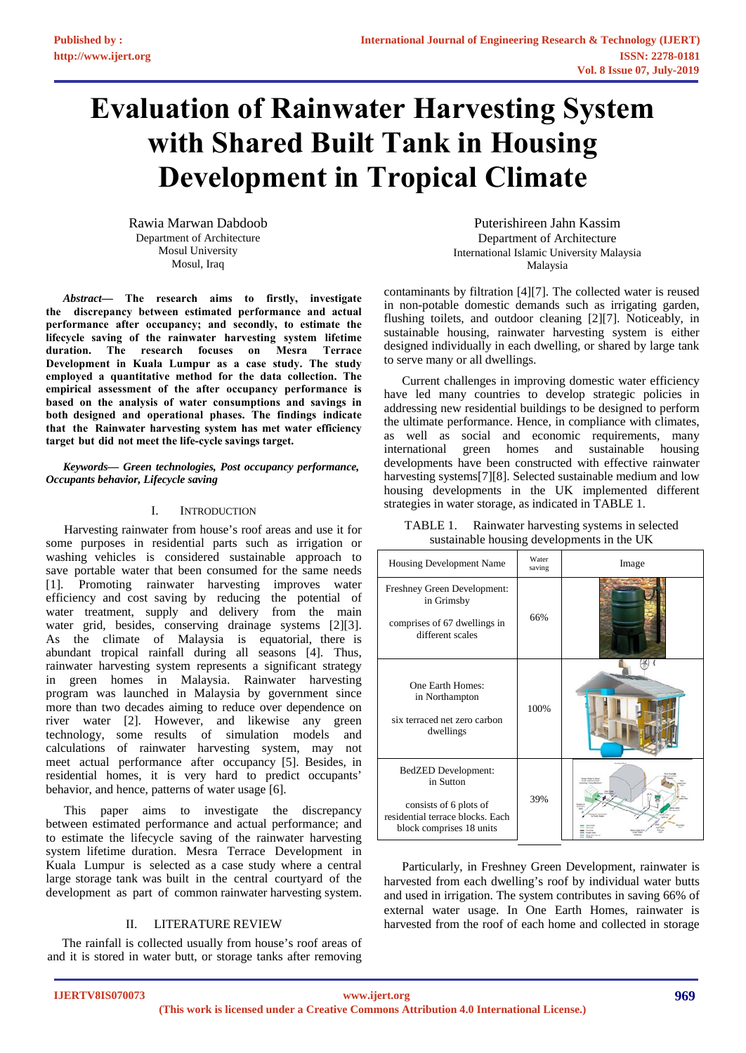# **Evaluation of Rainwater Harvesting System with Shared Built Tank in Housing Development in Tropical Climate**

Rawia Marwan Dabdoob Department of Architecture Mosul University [Mosul, Iraq](mailto:rawia.dabdoob@gmail.com) 

*Abstract***— The research aims to firstly, investigate the discrepancy between estimated performance and actual performance after occupancy; and secondly, to estimate the lifecycle saving of the rainwater harvesting system lifetime duration. The research focuses on Mesra Terrace Development in Kuala Lumpur as a case study. The study employed a quantitative method for the data collection. The empirical assessment of the after occupancy performance is based on the analysis of water consumptions and savings in both designed and operational phases. The findings indicate that the Rainwater harvesting system has met water efficiency target but did not meet the life-cycle savings target.** 

*Keywords— Green technologies, Post occupancy performance, Occupants behavior, Lifecycle saving* 

### I. INTRODUCTION

Harvesting rainwater from house's roof areas and use it for some purposes in residential parts such as irrigation or washing vehicles is considered sustainable approach to save portable water that been consumed for the same needs [1]. Promoting rainwater harvesting improves water efficiency and cost saving by reducing the potential of water treatment, supply and delivery from the main water grid, besides, conserving drainage systems [2][3]. As the climate of Malaysia is equatorial, there is abundant tropical rainfall during all seasons [4]. Thus, rainwater harvesting system represents a significant strategy in green homes in Malaysia. Rainwater harvesting program was launched in Malaysia by government since more than two decades aiming to reduce over dependence on river water [2]. However, and likewise any green technology, some results of simulation models and calculations of rainwater harvesting system, may not meet actual performance after occupancy [5]. Besides, in residential homes, it is very hard to predict occupants' behavior, and hence, patterns of water usage [6].

This paper aims to investigate the discrepancy between estimated performance and actual performance; and to estimate the lifecycle saving of the rainwater harvesting system lifetime duration. Mesra Terrace Development in Kuala Lumpur is selected as a case study where a central large storage tank was built in the central courtyard of the development as part of common rainwater harvesting system.

### II. LITERATURE REVIEW

The rainfall is collected usually from house's roof areas of and it is stored in water butt, or storage tanks after removing

Puterishireen Jahn Kassim Department of Architecture International Islamic University Malaysia Malaysia

contaminants by filtration [4][7]. The collected water is reused in non-potable domestic demands such as irrigating garden, flushing toilets, and outdoor cleaning [2][7]. Noticeably, in sustainable housing, rainwater harvesting system is either designed individually in each dwelling, or shared by large tank to serve many or all dwellings.

Current challenges in improving domestic water efficiency have led many countries to develop strategic policies in addressing new residential buildings to be designed to perform the ultimate performance. Hence, in compliance with climates, as well as social and economic requirements, many international green homes and sustainable housing green homes and sustainable housing developments have been constructed with effective rainwater harvesting systems<sup>[7][8]</sup>. Selected sustainable medium and low housing developments in the UK implemented different strategies in water storage, as indicated in TABLE 1.

TABLE 1. Rainwater harvesting systems in selected sustainable housing developments in the UK

| Housing Development Name                                                                                                          | Water<br>saving | Image |  |  |
|-----------------------------------------------------------------------------------------------------------------------------------|-----------------|-------|--|--|
| Freshney Green Development:<br>in Grimsby<br>comprises of 67 dwellings in<br>different scales                                     | 66%             |       |  |  |
| One Earth Homes:<br>in Northampton<br>six terraced net zero carbon<br>dwellings                                                   | 100%            |       |  |  |
| <b>BedZED</b> Development:<br>in Sutton<br>consists of 6 plots of<br>residential terrace blocks. Each<br>block comprises 18 units | 39%             |       |  |  |

Particularly, in Freshney Green Development, rainwater is harvested from each dwelling's roof by individual water butts and used in irrigation. The system contributes in saving 66% of external water usage. In One Earth Homes, rainwater is harvested from the roof of each home and collected in storage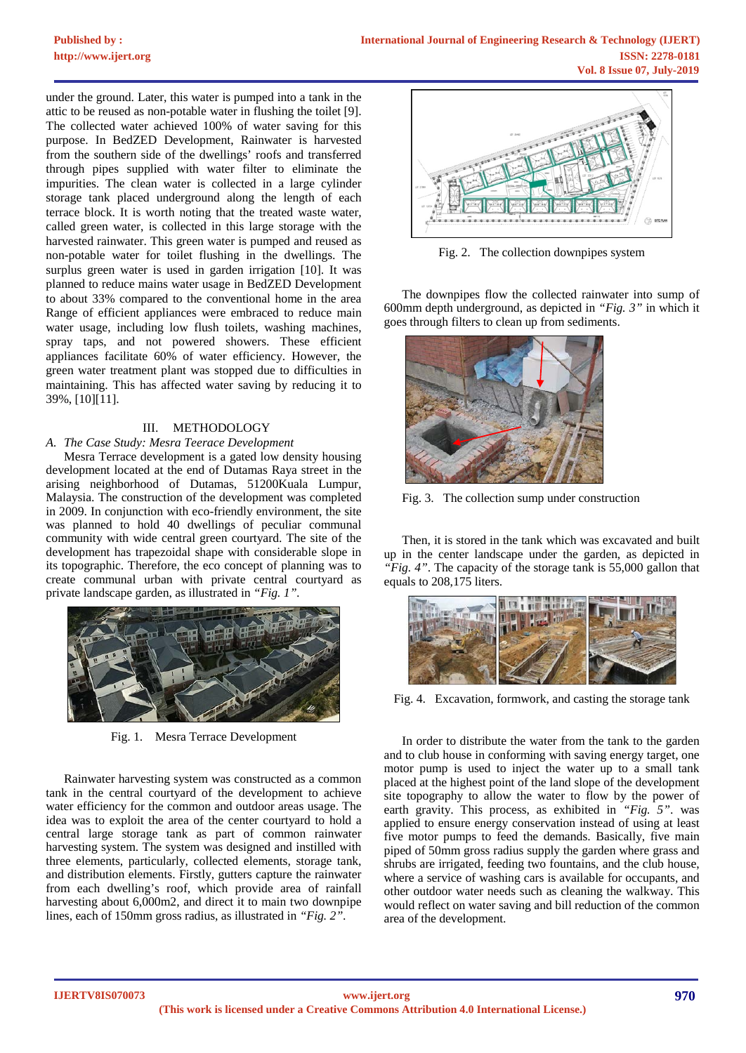under the ground. Later, this water is pumped into a tank in the attic to be reused as non-potable water in flushing the toilet [9]. The collected water achieved 100% of water saving for this purpose. In BedZED Development, Rainwater is harvested from the southern side of the dwellings' roofs and transferred through pipes supplied with water filter to eliminate the impurities. The clean water is collected in a large cylinder storage tank placed underground along the length of each terrace block. It is worth noting that the treated waste water, called green water, is collected in this large storage with the harvested rainwater. This green water is pumped and reused as non-potable water for toilet flushing in the dwellings. The surplus green water is used in garden irrigation [10]. It was planned to reduce mains water usage in BedZED Development to about 33% compared to the conventional home in the area Range of efficient appliances were embraced to reduce main water usage, including low flush toilets, washing machines, spray taps, and not powered showers. These efficient appliances facilitate 60% of water efficiency. However, the green water treatment plant was stopped due to difficulties in maintaining. This has affected water saving by reducing it to 39%, [10][11].

### III. METHODOLOGY

### *A. The Case Study: Mesra Teerace Development*

Mesra Terrace development is a gated low density housing development located at the end of Dutamas Raya street in the arising neighborhood of Dutamas, 51200Kuala Lumpur, Malaysia. The construction of the development was completed in 2009. In conjunction with eco-friendly environment, the site was planned to hold 40 dwellings of peculiar communal community with wide central green courtyard. The site of the development has trapezoidal shape with considerable slope in its topographic. Therefore, the eco concept of planning was to create communal urban with private central courtyard as private landscape garden, as illustrated in *"Fig. 1".*



Fig. 1. Mesra Terrace Development

Rainwater harvesting system was constructed as a common tank in the central courtyard of the development to achieve water efficiency for the common and outdoor areas usage. The idea was to exploit the area of the center courtyard to hold a central large storage tank as part of common rainwater harvesting system. The system was designed and instilled with three elements, particularly, collected elements, storage tank, and distribution elements. Firstly, gutters capture the rainwater from each dwelling's roof, which provide area of rainfall harvesting about 6,000m2, and direct it to main two downpipe lines, each of 150mm gross radius, as illustrated in *"Fig. 2"*.



Fig. 2. The collection downpipes system

The downpipes flow the collected rainwater into sump of 600mm depth underground, as depicted in *"Fig. 3"* in which it goes through filters to clean up from sediments.



Fig. 3. The collection sump under construction

Then, it is stored in the tank which was excavated and built up in the center landscape under the garden, as depicted in *"Fig. 4"*. The capacity of the storage tank is 55,000 gallon that equals to 208,175 liters.



Fig. 4. Excavation, formwork, and casting the storage tank

In order to distribute the water from the tank to the garden and to club house in conforming with saving energy target, one motor pump is used to inject the water up to a small tank placed at the highest point of the land slope of the development site topography to allow the water to flow by the power of earth gravity. This process, as exhibited in *"Fig. 5"*. was applied to ensure energy conservation instead of using at least five motor pumps to feed the demands. Basically, five main piped of 50mm gross radius supply the garden where grass and shrubs are irrigated, feeding two fountains, and the club house, where a service of washing cars is available for occupants, and other outdoor water needs such as cleaning the walkway. This would reflect on water saving and bill reduction of the common area of the development.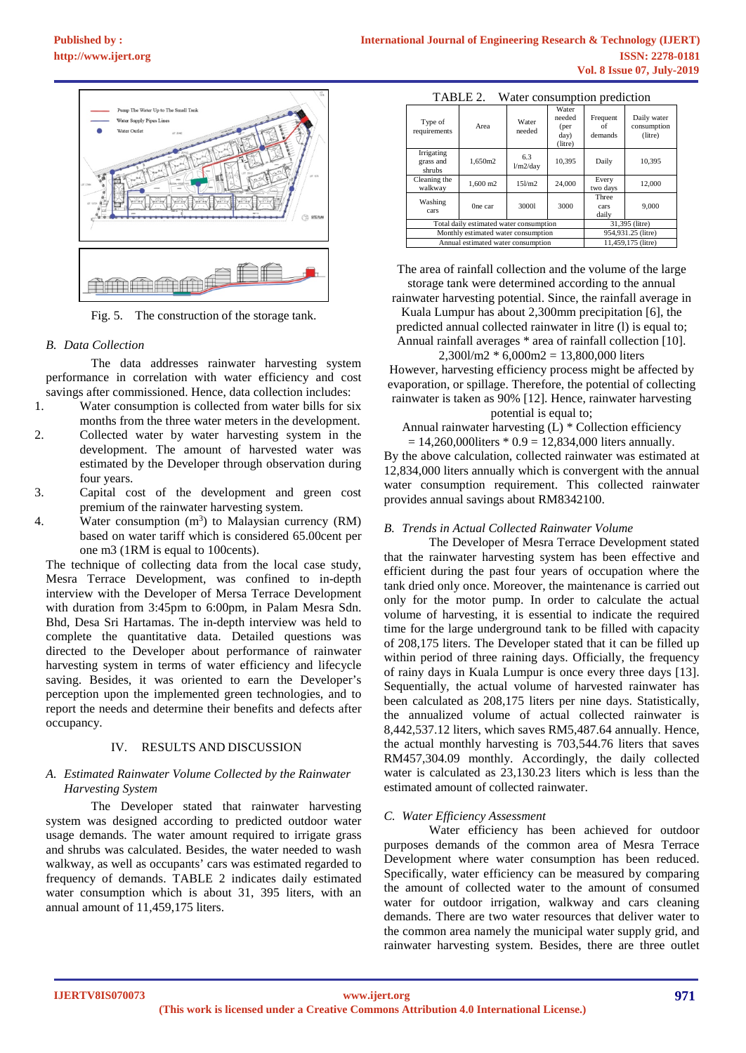

Fig. 5. The construction of the storage tank.

### *B. Data Collection*

The data addresses rainwater harvesting system performance in correlation with water efficiency and cost savings after commissioned. Hence, data collection includes:

- 1. Water consumption is collected from water bills for six months from the three water meters in the development.
- 2. Collected water by water harvesting system in the development. The amount of harvested water was estimated by the Developer through observation during four years.
- 3. Capital cost of the development and green cost premium of the rainwater harvesting system.
- 4. Water consumption  $(m<sup>3</sup>)$  to Malaysian currency (RM) based on water tariff which is considered 65.00cent per one m3 (1RM is equal to 100cents).

The technique of collecting data from the local case study, Mesra Terrace Development, was confined to in-depth interview with the Developer of Mersa Terrace Development with duration from 3:45pm to 6:00pm, in Palam Mesra Sdn. Bhd, Desa Sri Hartamas. The in-depth interview was held to complete the quantitative data. Detailed questions was directed to the Developer about performance of rainwater harvesting system in terms of water efficiency and lifecycle saving. Besides, it was oriented to earn the Developer's perception upon the implemented green technologies, and to report the needs and determine their benefits and defects after occupancy.

### IV. RESULTS AND DISCUSSION

### *A. Estimated Rainwater Volume Collected by the Rainwater Harvesting System*

The Developer stated that rainwater harvesting system was designed according to predicted outdoor water usage demands. The water amount required to irrigate grass and shrubs was calculated. Besides, the water needed to wash walkway, as well as occupants' cars was estimated regarded to frequency of demands. TABLE 2 indicates daily estimated water consumption which is about 31, 395 liters, with an annual amount of 11,459,175 liters.

| Type of<br>requirements                 | Area                | Water<br>needed  | Water<br>needed<br>(per<br>day)<br>(litre) | Frequent<br>of<br>demands | Daily water<br>consumption<br>(litre) |
|-----------------------------------------|---------------------|------------------|--------------------------------------------|---------------------------|---------------------------------------|
| Irrigating<br>grass and<br>shrubs       | 1.650m2             | 6.3<br>1/m2/day  | 10,395                                     | Daily                     | 10.395                                |
| Cleaning the<br>walkway                 | $1,600 \text{ m}$ 2 | $15$ $\text{m}2$ | 24,000                                     | Every<br>two days         | 12,000                                |
| Washing<br>cars                         | One car             | 30001            | 3000                                       | Three<br>cars<br>daily    | 9,000                                 |
| Total daily estimated water consumption |                     |                  |                                            | 31,395 (litre)            |                                       |
| Monthly estimated water consumption     |                     |                  |                                            | 954,931.25 (litre)        |                                       |
| Annual estimated water consumption      |                     |                  |                                            | 11.459.175 (litre)        |                                       |

TABLE 2. Water consumption prediction

The area of rainfall collection and the volume of the large storage tank were determined according to the annual

rainwater harvesting potential. Since, the rainfall average in Kuala Lumpur has about 2,300mm precipitation [6], the predicted annual collected rainwater in litre (l) is equal to;

Annual rainfall averages \* area of rainfall collection [10].  $2,300$ l/m2  $*$  6,000m2 = 13,800,000 liters

However, harvesting efficiency process might be affected by evaporation, or spillage. Therefore, the potential of collecting rainwater is taken as 90% [12]. Hence, rainwater harvesting

# potential is equal to;

Annual rainwater harvesting (L) \* Collection efficiency  $= 14,260,000$ liters  $* 0.9 = 12,834,000$  liters annually.

By the above calculation, collected rainwater was estimated at 12,834,000 liters annually which is convergent with the annual water consumption requirement. This collected rainwater provides annual savings about RM8342100.

### *B. Trends in Actual Collected Rainwater Volume*

The Developer of Mesra Terrace Development stated that the rainwater harvesting system has been effective and efficient during the past four years of occupation where the tank dried only once. Moreover, the maintenance is carried out only for the motor pump. In order to calculate the actual volume of harvesting, it is essential to indicate the required time for the large underground tank to be filled with capacity of 208,175 liters. The Developer stated that it can be filled up within period of three raining days. Officially, the frequency of rainy days in Kuala Lumpur is once every three days [13]. Sequentially, the actual volume of harvested rainwater has been calculated as 208,175 liters per nine days. Statistically, the annualized volume of actual collected rainwater is 8,442,537.12 liters, which saves RM5,487.64 annually. Hence, the actual monthly harvesting is 703,544.76 liters that saves RM457,304.09 monthly. Accordingly, the daily collected water is calculated as 23,130.23 liters which is less than the estimated amount of collected rainwater.

### *C. Water Efficiency Assessment*

Water efficiency has been achieved for outdoor purposes demands of the common area of Mesra Terrace Development where water consumption has been reduced. Specifically, water efficiency can be measured by comparing the amount of collected water to the amount of consumed water for outdoor irrigation, walkway and cars cleaning demands. There are two water resources that deliver water to the common area namely the municipal water supply grid, and rainwater harvesting system. Besides, there are three outlet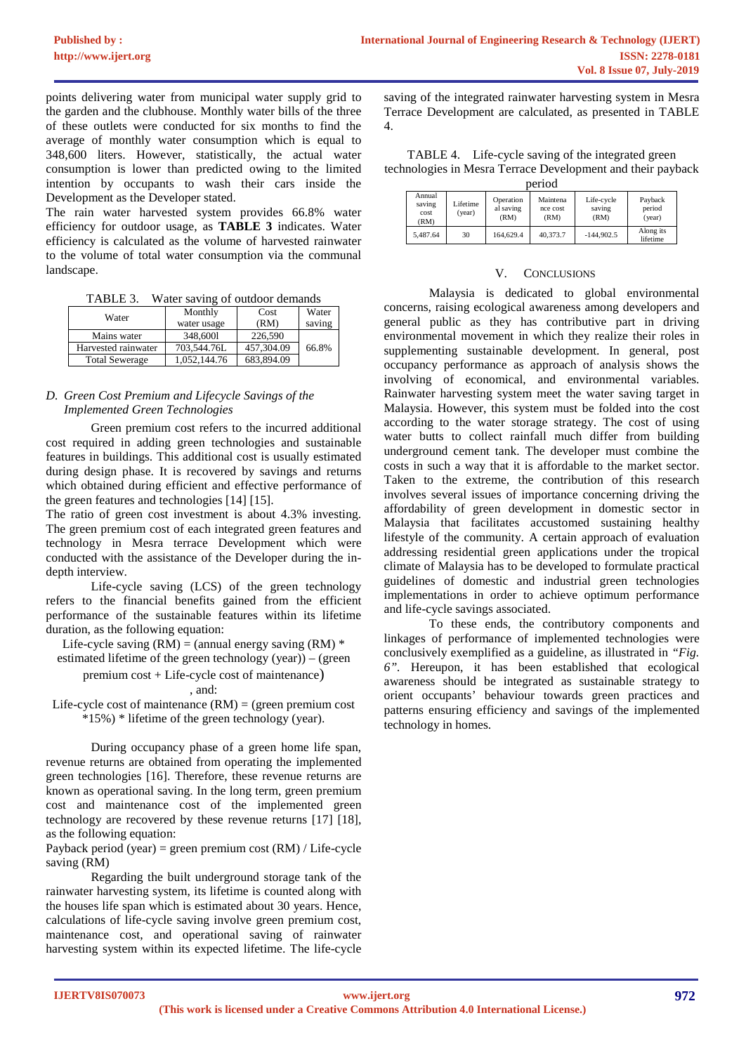points delivering water from municipal water supply grid to the garden and the clubhouse. Monthly water bills of the three of these outlets were conducted for six months to find the average of monthly water consumption which is equal to 348,600 liters. However, statistically, the actual water consumption is lower than predicted owing to the limited intention by occupants to wash their cars inside the Development as the Developer stated.

The rain water harvested system provides 66.8% water efficiency for outdoor usage, as **TABLE 3** indicates. Water efficiency is calculated as the volume of harvested rainwater to the volume of total water consumption via the communal landscape.

| TABLE 3. |  |  | Water saving of outdoor demands |
|----------|--|--|---------------------------------|
|          |  |  |                                 |

| Water                 | Monthly      | Cost       | Water  |
|-----------------------|--------------|------------|--------|
|                       | water usage  | (RM)       | saving |
| Mains water           | 348,6001     | 226,590    |        |
| Harvested rainwater   | 703,544.76L  | 457,304.09 | 66.8%  |
| <b>Total Sewerage</b> | 1.052.144.76 | 683,894.09 |        |

## *D. Green Cost Premium and Lifecycle Savings of the Implemented Green Technologies*

Green premium cost refers to the incurred additional cost required in adding green technologies and sustainable features in buildings. This additional cost is usually estimated during design phase. It is recovered by savings and returns which obtained during efficient and effective performance of the green features and technologies [14] [15].

The ratio of green cost investment is about 4.3% investing. The green premium cost of each integrated green features and technology in Mesra terrace Development which were conducted with the assistance of the Developer during the indepth interview.

Life-cycle saving (LCS) of the green technology refers to the financial benefits gained from the efficient performance of the sustainable features within its lifetime duration, as the following equation:

Life-cycle saving  $(RM) = (annual energy saving (RM) *$ 

estimated lifetime of the green technology (year)) – (green premium cost + Life-cycle cost of maintenance)

, and:

Life-cycle cost of maintenance  $(RM) = (green premium cost$ \*15%) \* lifetime of the green technology (year).

During occupancy phase of a green home life span, revenue returns are obtained from operating the implemented green technologies [16]. Therefore, these revenue returns are known as operational saving. In the long term, green premium cost and maintenance cost of the implemented green technology are recovered by these revenue returns [17] [18], as the following equation:

### Payback period (year) = green premium cost (RM) / Life-cycle saving (RM)

Regarding the built underground storage tank of the rainwater harvesting system, its lifetime is counted along with the houses life span which is estimated about 30 years. Hence, calculations of life-cycle saving involve green premium cost, maintenance cost, and operational saving of rainwater harvesting system within its expected lifetime. The life-cycle

saving of the integrated rainwater harvesting system in Mesra Terrace Development are calculated, as presented in TABLE 4.

TABLE 4. Life-cycle saving of the integrated green technologies in Mesra Terrace Development and their payback period

| Deltoa                           |                    |                                |                              |                              |                             |  |
|----------------------------------|--------------------|--------------------------------|------------------------------|------------------------------|-----------------------------|--|
| Annual<br>saving<br>cost<br>(RM) | Lifetime<br>(year) | Operation<br>al saving<br>(RM) | Maintena<br>nce cost<br>(RM) | Life-cycle<br>saving<br>(RM) | Payback<br>period<br>(year) |  |
| 5.487.64                         | 30                 | 164,629.4                      | 40,373.7                     | $-144.902.5$                 | Along its<br>lifetime       |  |

### V. CONCLUSIONS

Malaysia is dedicated to global environmental concerns, raising ecological awareness among developers and general public as they has contributive part in driving environmental movement in which they realize their roles in supplementing sustainable development. In general, post occupancy performance as approach of analysis shows the involving of economical, and environmental variables. Rainwater harvesting system meet the water saving target in Malaysia. However, this system must be folded into the cost according to the water storage strategy. The cost of using water butts to collect rainfall much differ from building underground cement tank. The developer must combine the costs in such a way that it is affordable to the market sector. Taken to the extreme, the contribution of this research involves several issues of importance concerning driving the affordability of green development in domestic sector in Malaysia that facilitates accustomed sustaining healthy lifestyle of the community. A certain approach of evaluation addressing residential green applications under the tropical climate of Malaysia has to be developed to formulate practical guidelines of domestic and industrial green technologies implementations in order to achieve optimum performance and life-cycle savings associated.

To these ends, the contributory components and linkages of performance of implemented technologies were conclusively exemplified as a guideline, as illustrated in *"Fig. 6".* Hereupon, it has been established that ecological awareness should be integrated as sustainable strategy to orient occupants' behaviour towards green practices and patterns ensuring efficiency and savings of the implemented technology in homes.